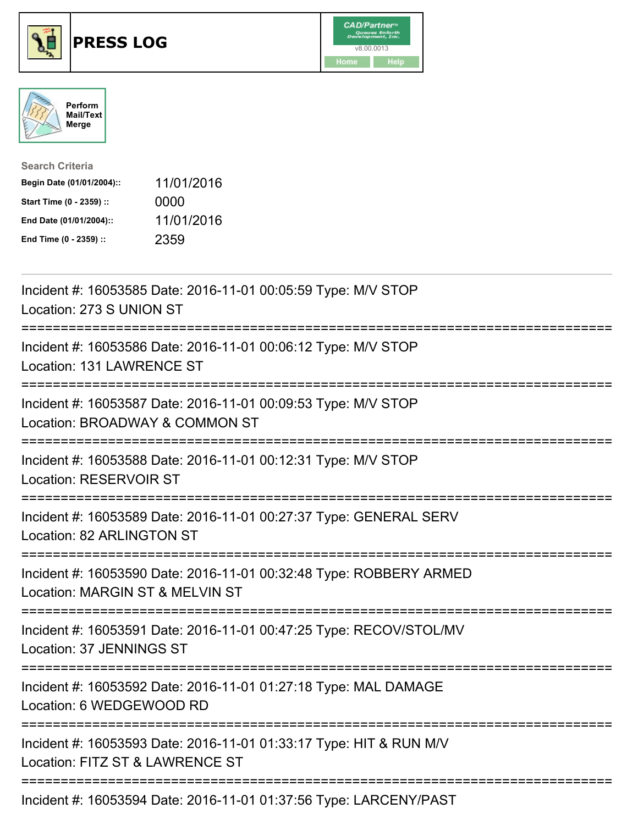





| <b>Search Criteria</b>    |            |
|---------------------------|------------|
| Begin Date (01/01/2004):: | 11/01/2016 |
| Start Time (0 - 2359) ::  | 0000       |
| End Date (01/01/2004)::   | 11/01/2016 |
| End Time (0 - 2359) ::    | 2359       |

| Incident #: 16053585 Date: 2016-11-01 00:05:59 Type: M/V STOP<br>Location: 273 S UNION ST                                   |
|-----------------------------------------------------------------------------------------------------------------------------|
| Incident #: 16053586 Date: 2016-11-01 00:06:12 Type: M/V STOP<br>Location: 131 LAWRENCE ST                                  |
| Incident #: 16053587 Date: 2016-11-01 00:09:53 Type: M/V STOP<br>Location: BROADWAY & COMMON ST<br>----------------------   |
| Incident #: 16053588 Date: 2016-11-01 00:12:31 Type: M/V STOP<br>Location: RESERVOIR ST                                     |
| Incident #: 16053589 Date: 2016-11-01 00:27:37 Type: GENERAL SERV<br>Location: 82 ARLINGTON ST                              |
| Incident #: 16053590 Date: 2016-11-01 00:32:48 Type: ROBBERY ARMED<br>Location: MARGIN ST & MELVIN ST                       |
| =========================<br>Incident #: 16053591 Date: 2016-11-01 00:47:25 Type: RECOV/STOL/MV<br>Location: 37 JENNINGS ST |
| Incident #: 16053592 Date: 2016-11-01 01:27:18 Type: MAL DAMAGE<br>Location: 6 WEDGEWOOD RD                                 |
| Incident #: 16053593 Date: 2016-11-01 01:33:17 Type: HIT & RUN M/V<br>Location: FITZ ST & LAWRENCE ST                       |
| ------------------<br>Incident #: 16053594 Date: 2016-11-01 01:37:56 Type: LARCENY/PAST                                     |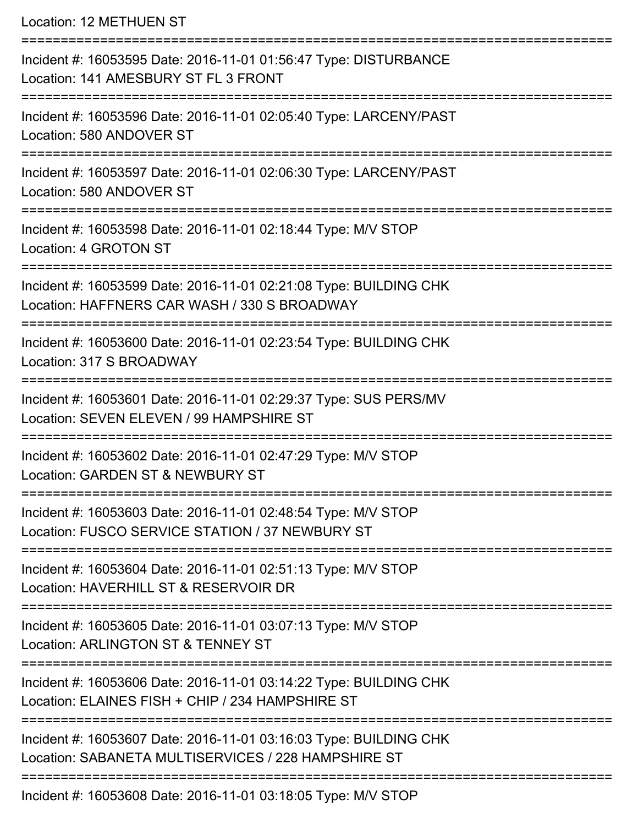Location: 12 METHUEN ST

| Incident #: 16053595 Date: 2016-11-01 01:56:47 Type: DISTURBANCE<br>Location: 141 AMESBURY ST FL 3 FRONT                 |
|--------------------------------------------------------------------------------------------------------------------------|
| Incident #: 16053596 Date: 2016-11-01 02:05:40 Type: LARCENY/PAST<br>Location: 580 ANDOVER ST                            |
| Incident #: 16053597 Date: 2016-11-01 02:06:30 Type: LARCENY/PAST<br>Location: 580 ANDOVER ST                            |
| Incident #: 16053598 Date: 2016-11-01 02:18:44 Type: M/V STOP<br>Location: 4 GROTON ST                                   |
| Incident #: 16053599 Date: 2016-11-01 02:21:08 Type: BUILDING CHK<br>Location: HAFFNERS CAR WASH / 330 S BROADWAY        |
| Incident #: 16053600 Date: 2016-11-01 02:23:54 Type: BUILDING CHK<br>Location: 317 S BROADWAY                            |
| Incident #: 16053601 Date: 2016-11-01 02:29:37 Type: SUS PERS/MV<br>Location: SEVEN ELEVEN / 99 HAMPSHIRE ST             |
| Incident #: 16053602 Date: 2016-11-01 02:47:29 Type: M/V STOP<br>Location: GARDEN ST & NEWBURY ST                        |
| Incident #: 16053603 Date: 2016-11-01 02:48:54 Type: M/V STOP<br>Location: FUSCO SERVICE STATION / 37 NEWBURY ST         |
| Incident #: 16053604 Date: 2016-11-01 02:51:13 Type: M/V STOP<br>Location: HAVERHILL ST & RESERVOIR DR                   |
| Incident #: 16053605 Date: 2016-11-01 03:07:13 Type: M/V STOP<br>Location: ARLINGTON ST & TENNEY ST                      |
| Incident #: 16053606 Date: 2016-11-01 03:14:22 Type: BUILDING CHK<br>Location: ELAINES FISH + CHIP / 234 HAMPSHIRE ST    |
| Incident #: 16053607 Date: 2016-11-01 03:16:03 Type: BUILDING CHK<br>Location: SABANETA MULTISERVICES / 228 HAMPSHIRE ST |
| Incident #: 16053608 Date: 2016-11-01 03:18:05 Type: M/V STOP                                                            |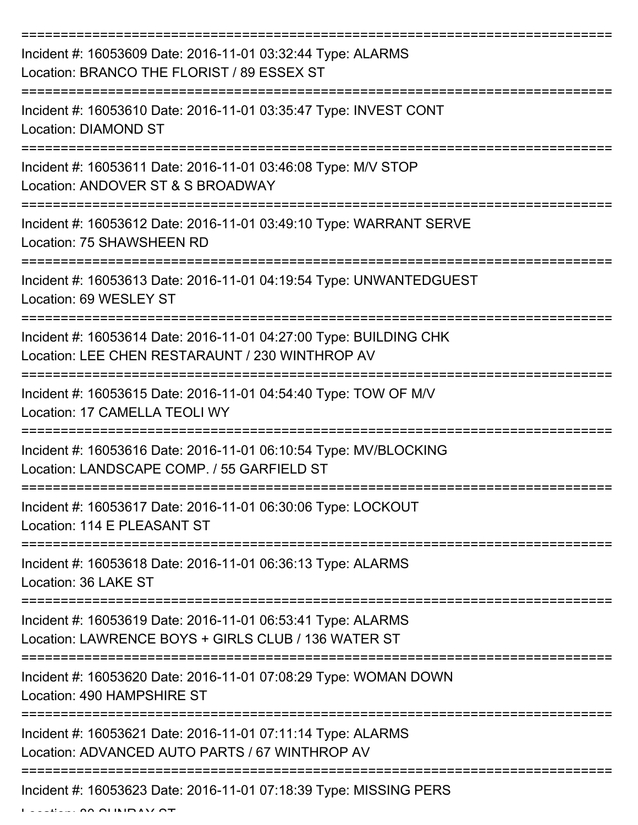| Incident #: 16053609 Date: 2016-11-01 03:32:44 Type: ALARMS<br>Location: BRANCO THE FLORIST / 89 ESSEX ST            |
|----------------------------------------------------------------------------------------------------------------------|
| Incident #: 16053610 Date: 2016-11-01 03:35:47 Type: INVEST CONT<br>Location: DIAMOND ST                             |
| Incident #: 16053611 Date: 2016-11-01 03:46:08 Type: M/V STOP<br>Location: ANDOVER ST & S BROADWAY                   |
| Incident #: 16053612 Date: 2016-11-01 03:49:10 Type: WARRANT SERVE<br>Location: 75 SHAWSHEEN RD                      |
| Incident #: 16053613 Date: 2016-11-01 04:19:54 Type: UNWANTEDGUEST<br>Location: 69 WESLEY ST                         |
| Incident #: 16053614 Date: 2016-11-01 04:27:00 Type: BUILDING CHK<br>Location: LEE CHEN RESTARAUNT / 230 WINTHROP AV |
| Incident #: 16053615 Date: 2016-11-01 04:54:40 Type: TOW OF M/V<br>Location: 17 CAMELLA TEOLI WY                     |
| Incident #: 16053616 Date: 2016-11-01 06:10:54 Type: MV/BLOCKING<br>Location: LANDSCAPE COMP. / 55 GARFIELD ST       |
| Incident #: 16053617 Date: 2016-11-01 06:30:06 Type: LOCKOUT<br>Location: 114 E PLEASANT ST                          |
| Incident #: 16053618 Date: 2016-11-01 06:36:13 Type: ALARMS<br>Location: 36 LAKE ST                                  |
| Incident #: 16053619 Date: 2016-11-01 06:53:41 Type: ALARMS<br>Location: LAWRENCE BOYS + GIRLS CLUB / 136 WATER ST   |
| Incident #: 16053620 Date: 2016-11-01 07:08:29 Type: WOMAN DOWN<br>Location: 490 HAMPSHIRE ST                        |
| Incident #: 16053621 Date: 2016-11-01 07:11:14 Type: ALARMS<br>Location: ADVANCED AUTO PARTS / 67 WINTHROP AV        |
| Incident #: 16053623 Date: 2016-11-01 07:18:39 Type: MISSING PERS                                                    |

Location: 80 SUNRAY ST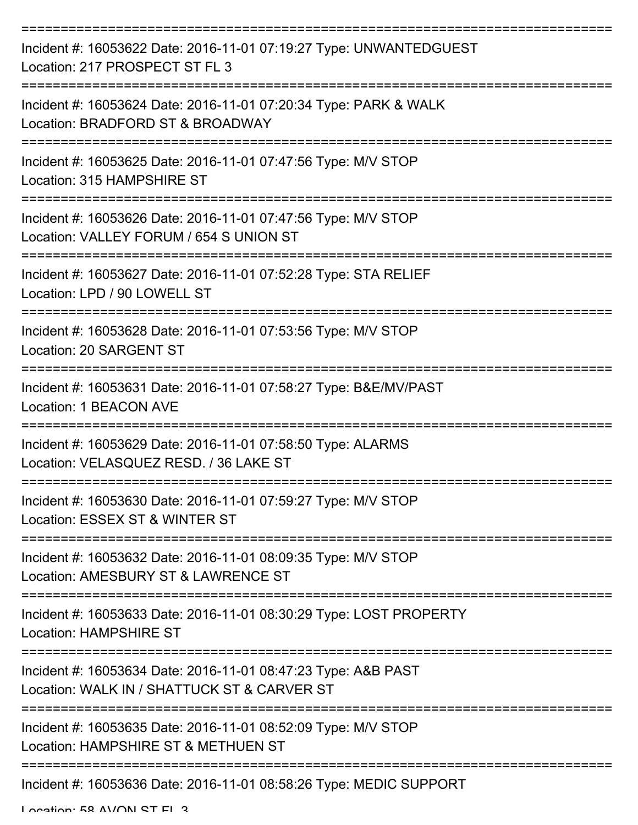| Incident #: 16053622 Date: 2016-11-01 07:19:27 Type: UNWANTEDGUEST<br>Location: 217 PROSPECT ST FL 3         |
|--------------------------------------------------------------------------------------------------------------|
| Incident #: 16053624 Date: 2016-11-01 07:20:34 Type: PARK & WALK<br>Location: BRADFORD ST & BROADWAY         |
| Incident #: 16053625 Date: 2016-11-01 07:47:56 Type: M/V STOP<br>Location: 315 HAMPSHIRE ST                  |
| Incident #: 16053626 Date: 2016-11-01 07:47:56 Type: M/V STOP<br>Location: VALLEY FORUM / 654 S UNION ST     |
| Incident #: 16053627 Date: 2016-11-01 07:52:28 Type: STA RELIEF<br>Location: LPD / 90 LOWELL ST              |
| Incident #: 16053628 Date: 2016-11-01 07:53:56 Type: M/V STOP<br>Location: 20 SARGENT ST                     |
| Incident #: 16053631 Date: 2016-11-01 07:58:27 Type: B&E/MV/PAST<br>Location: 1 BEACON AVE                   |
| Incident #: 16053629 Date: 2016-11-01 07:58:50 Type: ALARMS<br>Location: VELASQUEZ RESD. / 36 LAKE ST        |
| Incident #: 16053630 Date: 2016-11-01 07:59:27 Type: M/V STOP<br>Location: ESSEX ST & WINTER ST              |
| Incident #: 16053632 Date: 2016-11-01 08:09:35 Type: M/V STOP<br>Location: AMESBURY ST & LAWRENCE ST         |
| Incident #: 16053633 Date: 2016-11-01 08:30:29 Type: LOST PROPERTY<br>Location: HAMPSHIRE ST                 |
| Incident #: 16053634 Date: 2016-11-01 08:47:23 Type: A&B PAST<br>Location: WALK IN / SHATTUCK ST & CARVER ST |
| Incident #: 16053635 Date: 2016-11-01 08:52:09 Type: M/V STOP<br>Location: HAMPSHIRE ST & METHUEN ST         |
| Incident #: 16053636 Date: 2016-11-01 08:58:26 Type: MEDIC SUPPORT                                           |

Location: 58 AVON ST EL 3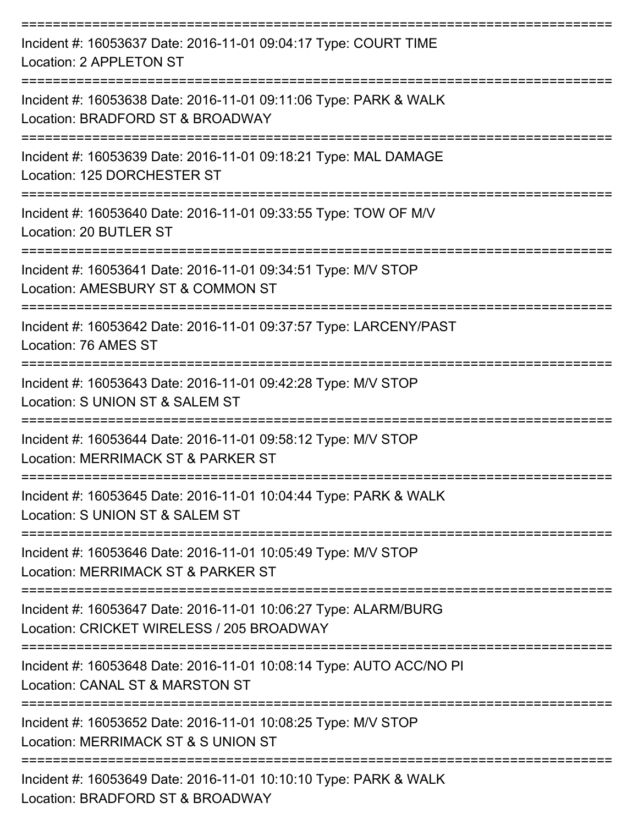| Incident #: 16053637 Date: 2016-11-01 09:04:17 Type: COURT TIME<br>Location: 2 APPLETON ST                                      |
|---------------------------------------------------------------------------------------------------------------------------------|
| Incident #: 16053638 Date: 2016-11-01 09:11:06 Type: PARK & WALK<br>Location: BRADFORD ST & BROADWAY                            |
| Incident #: 16053639 Date: 2016-11-01 09:18:21 Type: MAL DAMAGE<br>Location: 125 DORCHESTER ST<br>------------------            |
| Incident #: 16053640 Date: 2016-11-01 09:33:55 Type: TOW OF M/V<br>Location: 20 BUTLER ST<br>------------------                 |
| Incident #: 16053641 Date: 2016-11-01 09:34:51 Type: M/V STOP<br>Location: AMESBURY ST & COMMON ST                              |
| Incident #: 16053642 Date: 2016-11-01 09:37:57 Type: LARCENY/PAST<br>Location: 76 AMES ST<br>====================               |
| Incident #: 16053643 Date: 2016-11-01 09:42:28 Type: M/V STOP<br>Location: S UNION ST & SALEM ST                                |
| Incident #: 16053644 Date: 2016-11-01 09:58:12 Type: M/V STOP<br>Location: MERRIMACK ST & PARKER ST                             |
| Incident #: 16053645 Date: 2016-11-01 10:04:44 Type: PARK & WALK<br>Location: S UNION ST & SALEM ST                             |
| Incident #: 16053646 Date: 2016-11-01 10:05:49 Type: M/V STOP<br>Location: MERRIMACK ST & PARKER ST                             |
| Incident #: 16053647 Date: 2016-11-01 10:06:27 Type: ALARM/BURG<br>Location: CRICKET WIRELESS / 205 BROADWAY                    |
| Incident #: 16053648 Date: 2016-11-01 10:08:14 Type: AUTO ACC/NO PI<br>Location: CANAL ST & MARSTON ST                          |
| Incident #: 16053652 Date: 2016-11-01 10:08:25 Type: M/V STOP<br>Location: MERRIMACK ST & S UNION ST                            |
| =======================<br>Incident #: 16053649 Date: 2016-11-01 10:10:10 Type: PARK & WALK<br>Location: BRADFORD ST & BROADWAY |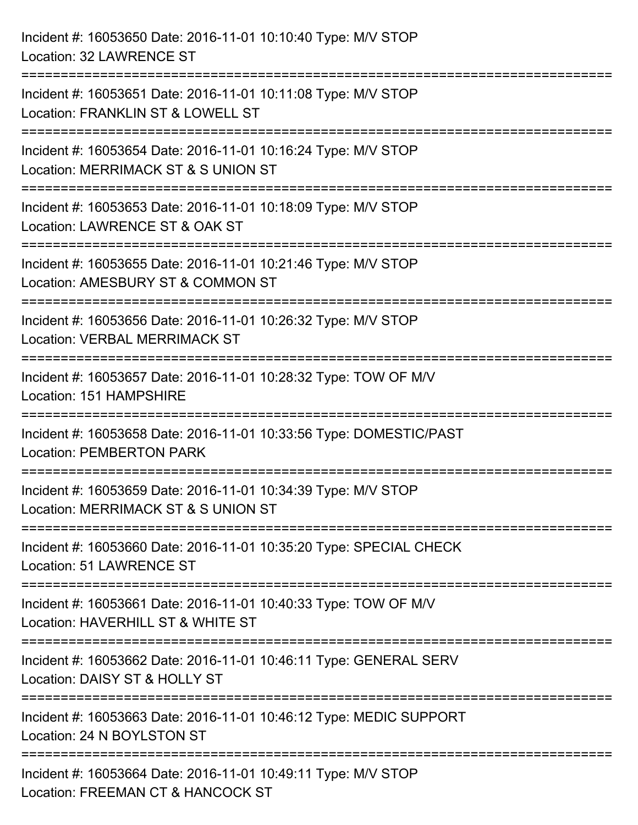| Incident #: 16053650 Date: 2016-11-01 10:10:40 Type: M/V STOP<br><b>Location: 32 LAWRENCE ST</b>                              |
|-------------------------------------------------------------------------------------------------------------------------------|
| Incident #: 16053651 Date: 2016-11-01 10:11:08 Type: M/V STOP<br>Location: FRANKLIN ST & LOWELL ST                            |
| Incident #: 16053654 Date: 2016-11-01 10:16:24 Type: M/V STOP<br>Location: MERRIMACK ST & S UNION ST                          |
| =====================<br>Incident #: 16053653 Date: 2016-11-01 10:18:09 Type: M/V STOP<br>Location: LAWRENCE ST & OAK ST      |
| Incident #: 16053655 Date: 2016-11-01 10:21:46 Type: M/V STOP<br>Location: AMESBURY ST & COMMON ST                            |
| ====================<br>Incident #: 16053656 Date: 2016-11-01 10:26:32 Type: M/V STOP<br><b>Location: VERBAL MERRIMACK ST</b> |
| Incident #: 16053657 Date: 2016-11-01 10:28:32 Type: TOW OF M/V<br>Location: 151 HAMPSHIRE                                    |
| Incident #: 16053658 Date: 2016-11-01 10:33:56 Type: DOMESTIC/PAST<br><b>Location: PEMBERTON PARK</b>                         |
| Incident #: 16053659 Date: 2016-11-01 10:34:39 Type: M/V STOP<br>Location: MERRIMACK ST & S UNION ST                          |
| Incident #: 16053660 Date: 2016-11-01 10:35:20 Type: SPECIAL CHECK<br>Location: 51 LAWRENCE ST                                |
| Incident #: 16053661 Date: 2016-11-01 10:40:33 Type: TOW OF M/V<br>Location: HAVERHILL ST & WHITE ST                          |
| Incident #: 16053662 Date: 2016-11-01 10:46:11 Type: GENERAL SERV<br>Location: DAISY ST & HOLLY ST                            |
| Incident #: 16053663 Date: 2016-11-01 10:46:12 Type: MEDIC SUPPORT<br>Location: 24 N BOYLSTON ST                              |
| Incident #: 16053664 Date: 2016-11-01 10:49:11 Type: M/V STOP<br>Location: FREEMAN CT & HANCOCK ST                            |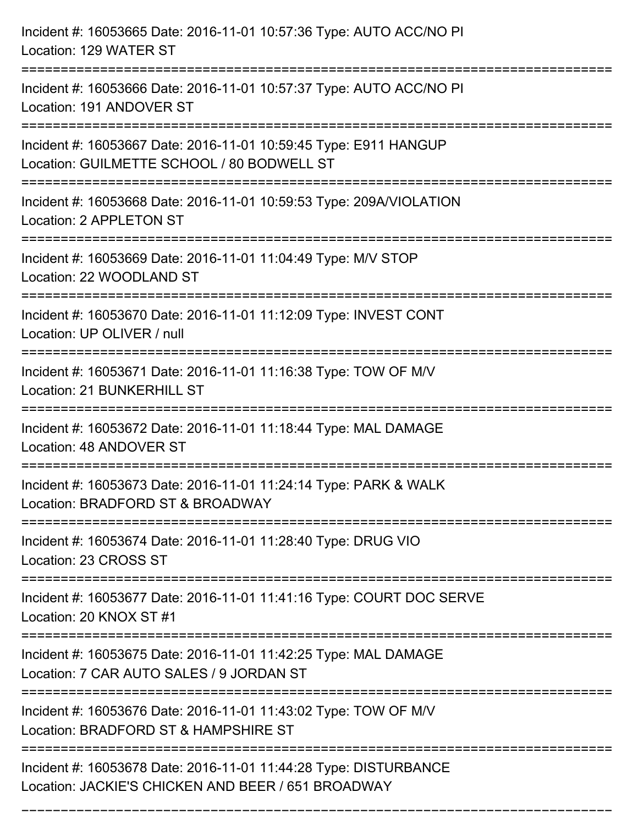| Incident #: 16053665 Date: 2016-11-01 10:57:36 Type: AUTO ACC/NO PI<br>Location: 129 WATER ST                          |
|------------------------------------------------------------------------------------------------------------------------|
| Incident #: 16053666 Date: 2016-11-01 10:57:37 Type: AUTO ACC/NO PI<br>Location: 191 ANDOVER ST                        |
| Incident #: 16053667 Date: 2016-11-01 10:59:45 Type: E911 HANGUP<br>Location: GUILMETTE SCHOOL / 80 BODWELL ST         |
| Incident #: 16053668 Date: 2016-11-01 10:59:53 Type: 209A/VIOLATION<br>Location: 2 APPLETON ST                         |
| Incident #: 16053669 Date: 2016-11-01 11:04:49 Type: M/V STOP<br>Location: 22 WOODLAND ST                              |
| Incident #: 16053670 Date: 2016-11-01 11:12:09 Type: INVEST CONT<br>Location: UP OLIVER / null                         |
| Incident #: 16053671 Date: 2016-11-01 11:16:38 Type: TOW OF M/V<br>Location: 21 BUNKERHILL ST                          |
| Incident #: 16053672 Date: 2016-11-01 11:18:44 Type: MAL DAMAGE<br>Location: 48 ANDOVER ST                             |
| Incident #: 16053673 Date: 2016-11-01 11:24:14 Type: PARK & WALK<br>Location: BRADFORD ST & BROADWAY                   |
| Incident #: 16053674 Date: 2016-11-01 11:28:40 Type: DRUG VIO<br>Location: 23 CROSS ST                                 |
| Incident #: 16053677 Date: 2016-11-01 11:41:16 Type: COURT DOC SERVE<br>Location: 20 KNOX ST #1                        |
| Incident #: 16053675 Date: 2016-11-01 11:42:25 Type: MAL DAMAGE<br>Location: 7 CAR AUTO SALES / 9 JORDAN ST            |
| Incident #: 16053676 Date: 2016-11-01 11:43:02 Type: TOW OF M/V<br>Location: BRADFORD ST & HAMPSHIRE ST                |
| Incident #: 16053678 Date: 2016-11-01 11:44:28 Type: DISTURBANCE<br>Location: JACKIE'S CHICKEN AND BEER / 651 BROADWAY |

===========================================================================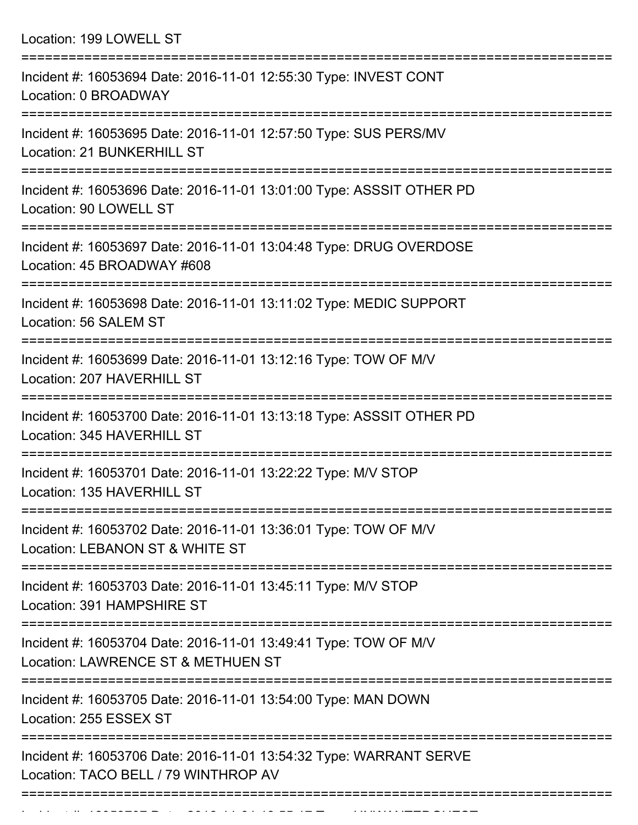Location: 199 LOWELL ST

| Incident #: 16053694 Date: 2016-11-01 12:55:30 Type: INVEST CONT<br>Location: 0 BROADWAY                                        |
|---------------------------------------------------------------------------------------------------------------------------------|
| Incident #: 16053695 Date: 2016-11-01 12:57:50 Type: SUS PERS/MV<br>Location: 21 BUNKERHILL ST<br>:======================       |
| Incident #: 16053696 Date: 2016-11-01 13:01:00 Type: ASSSIT OTHER PD<br>Location: 90 LOWELL ST                                  |
| Incident #: 16053697 Date: 2016-11-01 13:04:48 Type: DRUG OVERDOSE<br>Location: 45 BROADWAY #608<br>:========================== |
| Incident #: 16053698 Date: 2016-11-01 13:11:02 Type: MEDIC SUPPORT<br>Location: 56 SALEM ST                                     |
| Incident #: 16053699 Date: 2016-11-01 13:12:16 Type: TOW OF M/V<br>Location: 207 HAVERHILL ST                                   |
| Incident #: 16053700 Date: 2016-11-01 13:13:18 Type: ASSSIT OTHER PD<br>Location: 345 HAVERHILL ST                              |
| Incident #: 16053701 Date: 2016-11-01 13:22:22 Type: M/V STOP<br>Location: 135 HAVERHILL ST                                     |
| Incident #: 16053702 Date: 2016-11-01 13:36:01 Type: TOW OF M/V<br>Location: LEBANON ST & WHITE ST                              |
| Incident #: 16053703 Date: 2016-11-01 13:45:11 Type: M/V STOP<br>Location: 391 HAMPSHIRE ST                                     |
| Incident #: 16053704 Date: 2016-11-01 13:49:41 Type: TOW OF M/V<br>Location: LAWRENCE ST & METHUEN ST                           |
| Incident #: 16053705 Date: 2016-11-01 13:54:00 Type: MAN DOWN<br>Location: 255 ESSEX ST                                         |
| Incident #: 16053706 Date: 2016-11-01 13:54:32 Type: WARRANT SERVE<br>Location: TACO BELL / 79 WINTHROP AV                      |
|                                                                                                                                 |

===========================================================================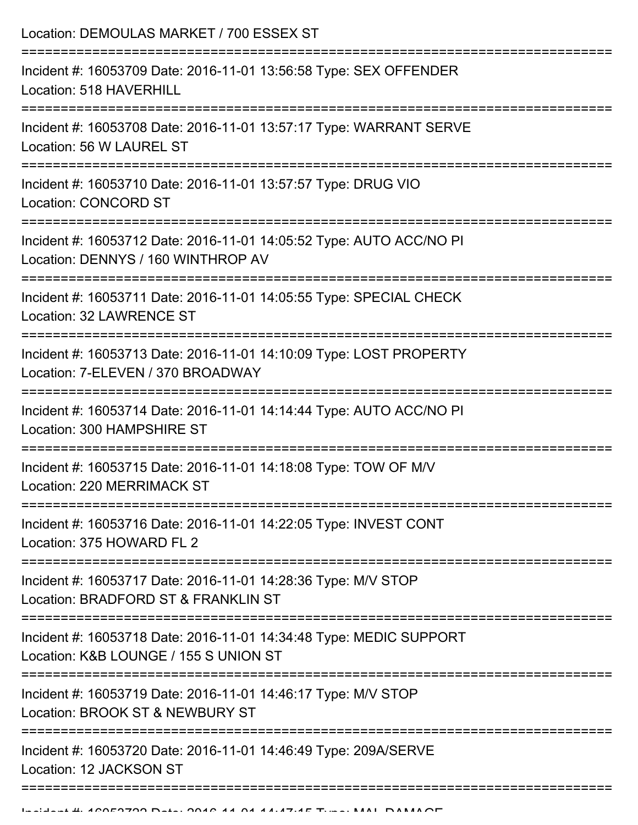| Incident #: 16053709 Date: 2016-11-01 13:56:58 Type: SEX OFFENDER<br>Location: 518 HAVERHILL<br>Incident #: 16053708 Date: 2016-11-01 13:57:17 Type: WARRANT SERVE<br>Location: 56 W LAUREL ST<br>Incident #: 16053710 Date: 2016-11-01 13:57:57 Type: DRUG VIO<br><b>Location: CONCORD ST</b><br>Incident #: 16053712 Date: 2016-11-01 14:05:52 Type: AUTO ACC/NO PI<br>Location: DENNYS / 160 WINTHROP AV<br>Incident #: 16053711 Date: 2016-11-01 14:05:55 Type: SPECIAL CHECK<br>Location: 32 LAWRENCE ST<br>Incident #: 16053713 Date: 2016-11-01 14:10:09 Type: LOST PROPERTY<br>Location: 7-ELEVEN / 370 BROADWAY<br>Incident #: 16053714 Date: 2016-11-01 14:14:44 Type: AUTO ACC/NO PI<br>Location: 300 HAMPSHIRE ST<br>Incident #: 16053715 Date: 2016-11-01 14:18:08 Type: TOW OF M/V<br>Location: 220 MERRIMACK ST<br>================================<br>Incident #: 16053716 Date: 2016-11-01 14:22:05 Type: INVEST CONT<br>Location: 375 HOWARD FL 2<br>Incident #: 16053717 Date: 2016-11-01 14:28:36 Type: M/V STOP<br>Location: BRADFORD ST & FRANKLIN ST<br>=====================================<br>Incident #: 16053718 Date: 2016-11-01 14:34:48 Type: MEDIC SUPPORT<br>Location: K&B LOUNGE / 155 S UNION ST<br>;==============================<br>Incident #: 16053719 Date: 2016-11-01 14:46:17 Type: M/V STOP<br>Location: BROOK ST & NEWBURY ST<br>Incident #: 16053720 Date: 2016-11-01 14:46:49 Type: 209A/SERVE<br>Location: 12 JACKSON ST | Location: DEMOULAS MARKET / 700 ESSEX ST |
|--------------------------------------------------------------------------------------------------------------------------------------------------------------------------------------------------------------------------------------------------------------------------------------------------------------------------------------------------------------------------------------------------------------------------------------------------------------------------------------------------------------------------------------------------------------------------------------------------------------------------------------------------------------------------------------------------------------------------------------------------------------------------------------------------------------------------------------------------------------------------------------------------------------------------------------------------------------------------------------------------------------------------------------------------------------------------------------------------------------------------------------------------------------------------------------------------------------------------------------------------------------------------------------------------------------------------------------------------------------------------------------------------------------------------------------------------------------------------|------------------------------------------|
|                                                                                                                                                                                                                                                                                                                                                                                                                                                                                                                                                                                                                                                                                                                                                                                                                                                                                                                                                                                                                                                                                                                                                                                                                                                                                                                                                                                                                                                                          |                                          |
|                                                                                                                                                                                                                                                                                                                                                                                                                                                                                                                                                                                                                                                                                                                                                                                                                                                                                                                                                                                                                                                                                                                                                                                                                                                                                                                                                                                                                                                                          |                                          |
|                                                                                                                                                                                                                                                                                                                                                                                                                                                                                                                                                                                                                                                                                                                                                                                                                                                                                                                                                                                                                                                                                                                                                                                                                                                                                                                                                                                                                                                                          |                                          |
|                                                                                                                                                                                                                                                                                                                                                                                                                                                                                                                                                                                                                                                                                                                                                                                                                                                                                                                                                                                                                                                                                                                                                                                                                                                                                                                                                                                                                                                                          |                                          |
|                                                                                                                                                                                                                                                                                                                                                                                                                                                                                                                                                                                                                                                                                                                                                                                                                                                                                                                                                                                                                                                                                                                                                                                                                                                                                                                                                                                                                                                                          |                                          |
|                                                                                                                                                                                                                                                                                                                                                                                                                                                                                                                                                                                                                                                                                                                                                                                                                                                                                                                                                                                                                                                                                                                                                                                                                                                                                                                                                                                                                                                                          |                                          |
|                                                                                                                                                                                                                                                                                                                                                                                                                                                                                                                                                                                                                                                                                                                                                                                                                                                                                                                                                                                                                                                                                                                                                                                                                                                                                                                                                                                                                                                                          |                                          |
|                                                                                                                                                                                                                                                                                                                                                                                                                                                                                                                                                                                                                                                                                                                                                                                                                                                                                                                                                                                                                                                                                                                                                                                                                                                                                                                                                                                                                                                                          |                                          |
|                                                                                                                                                                                                                                                                                                                                                                                                                                                                                                                                                                                                                                                                                                                                                                                                                                                                                                                                                                                                                                                                                                                                                                                                                                                                                                                                                                                                                                                                          |                                          |
|                                                                                                                                                                                                                                                                                                                                                                                                                                                                                                                                                                                                                                                                                                                                                                                                                                                                                                                                                                                                                                                                                                                                                                                                                                                                                                                                                                                                                                                                          |                                          |
|                                                                                                                                                                                                                                                                                                                                                                                                                                                                                                                                                                                                                                                                                                                                                                                                                                                                                                                                                                                                                                                                                                                                                                                                                                                                                                                                                                                                                                                                          |                                          |
|                                                                                                                                                                                                                                                                                                                                                                                                                                                                                                                                                                                                                                                                                                                                                                                                                                                                                                                                                                                                                                                                                                                                                                                                                                                                                                                                                                                                                                                                          |                                          |
|                                                                                                                                                                                                                                                                                                                                                                                                                                                                                                                                                                                                                                                                                                                                                                                                                                                                                                                                                                                                                                                                                                                                                                                                                                                                                                                                                                                                                                                                          |                                          |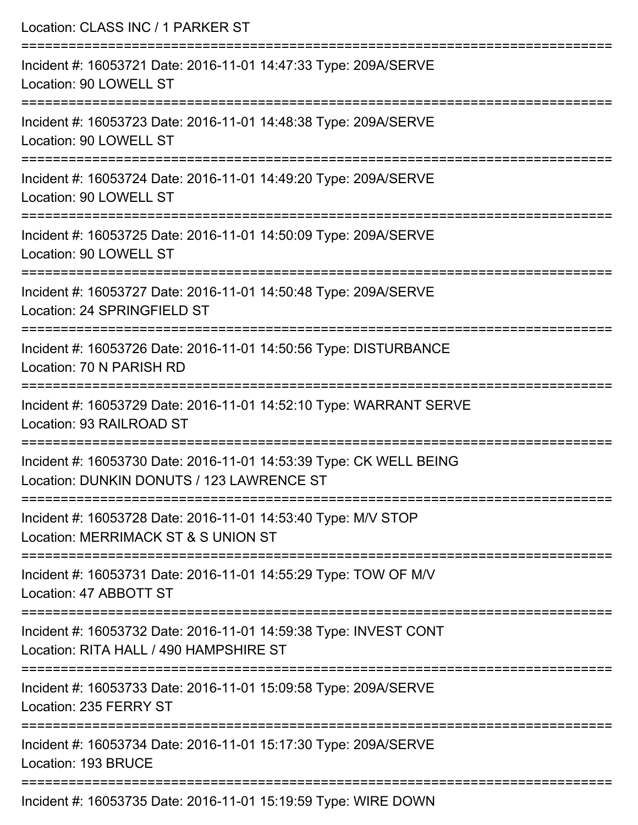| Location: CLASS INC / 1 PARKER ST                                                                                                            |
|----------------------------------------------------------------------------------------------------------------------------------------------|
| Incident #: 16053721 Date: 2016-11-01 14:47:33 Type: 209A/SERVE<br>Location: 90 LOWELL ST                                                    |
| Incident #: 16053723 Date: 2016-11-01 14:48:38 Type: 209A/SERVE<br>Location: 90 LOWELL ST                                                    |
| Incident #: 16053724 Date: 2016-11-01 14:49:20 Type: 209A/SERVE<br>Location: 90 LOWELL ST                                                    |
| Incident #: 16053725 Date: 2016-11-01 14:50:09 Type: 209A/SERVE<br>Location: 90 LOWELL ST                                                    |
| Incident #: 16053727 Date: 2016-11-01 14:50:48 Type: 209A/SERVE<br>Location: 24 SPRINGFIELD ST                                               |
| Incident #: 16053726 Date: 2016-11-01 14:50:56 Type: DISTURBANCE<br>Location: 70 N PARISH RD                                                 |
| Incident #: 16053729 Date: 2016-11-01 14:52:10 Type: WARRANT SERVE<br>Location: 93 RAILROAD ST                                               |
| Incident #: 16053730 Date: 2016-11-01 14:53:39 Type: CK WELL BEING<br>Location: DUNKIN DONUTS / 123 LAWRENCE ST                              |
| ====================================<br>Incident #: 16053728 Date: 2016-11-01 14:53:40 Type: M/V STOP<br>Location: MERRIMACK ST & S UNION ST |
| Incident #: 16053731 Date: 2016-11-01 14:55:29 Type: TOW OF M/V<br>Location: 47 ABBOTT ST                                                    |
| Incident #: 16053732 Date: 2016-11-01 14:59:38 Type: INVEST CONT<br>Location: RITA HALL / 490 HAMPSHIRE ST                                   |
| Incident #: 16053733 Date: 2016-11-01 15:09:58 Type: 209A/SERVE<br>Location: 235 FERRY ST                                                    |
| Incident #: 16053734 Date: 2016-11-01 15:17:30 Type: 209A/SERVE<br>Location: 193 BRUCE                                                       |
| Incident #: 16053735 Date: 2016-11-01 15:10:50 Type: WIPE DOWN                                                                               |

Incident #: 16053735 Date: 2016-11-01 15:19:59 Type: WIRE DOWN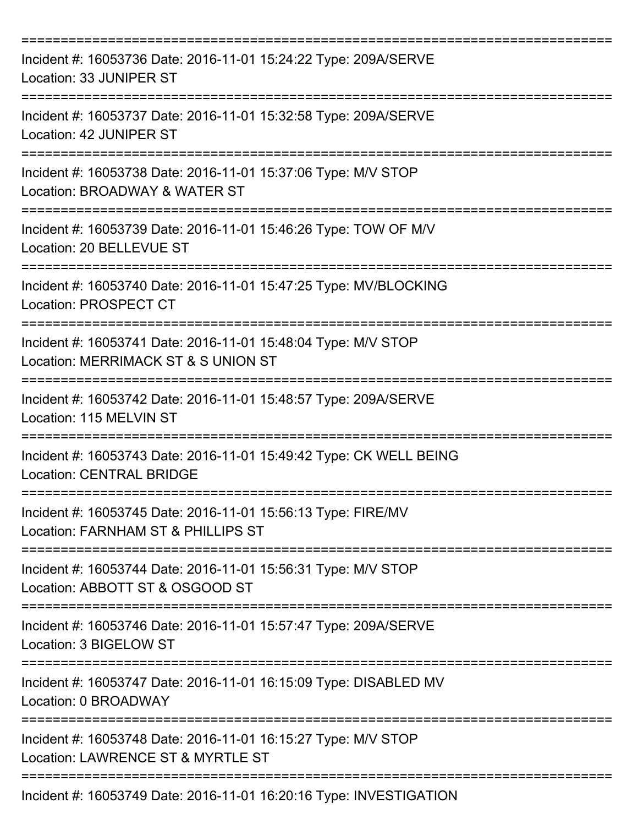| Incident #: 16053736 Date: 2016-11-01 15:24:22 Type: 209A/SERVE<br>Location: 33 JUNIPER ST                             |
|------------------------------------------------------------------------------------------------------------------------|
| Incident #: 16053737 Date: 2016-11-01 15:32:58 Type: 209A/SERVE<br>Location: 42 JUNIPER ST                             |
| Incident #: 16053738 Date: 2016-11-01 15:37:06 Type: M/V STOP<br>Location: BROADWAY & WATER ST                         |
| Incident #: 16053739 Date: 2016-11-01 15:46:26 Type: TOW OF M/V<br>Location: 20 BELLEVUE ST                            |
| Incident #: 16053740 Date: 2016-11-01 15:47:25 Type: MV/BLOCKING<br><b>Location: PROSPECT CT</b>                       |
| Incident #: 16053741 Date: 2016-11-01 15:48:04 Type: M/V STOP<br>Location: MERRIMACK ST & S UNION ST                   |
| Incident #: 16053742 Date: 2016-11-01 15:48:57 Type: 209A/SERVE<br>Location: 115 MELVIN ST                             |
| =============<br>Incident #: 16053743 Date: 2016-11-01 15:49:42 Type: CK WELL BEING<br><b>Location: CENTRAL BRIDGE</b> |
| Incident #: 16053745 Date: 2016-11-01 15:56:13 Type: FIRE/MV<br>Location: FARNHAM ST & PHILLIPS ST                     |
| Incident #: 16053744 Date: 2016-11-01 15:56:31 Type: M/V STOP<br>Location: ABBOTT ST & OSGOOD ST                       |
| Incident #: 16053746 Date: 2016-11-01 15:57:47 Type: 209A/SERVE<br>Location: 3 BIGELOW ST                              |
| Incident #: 16053747 Date: 2016-11-01 16:15:09 Type: DISABLED MV<br>Location: 0 BROADWAY                               |
| Incident #: 16053748 Date: 2016-11-01 16:15:27 Type: M/V STOP<br>Location: LAWRENCE ST & MYRTLE ST                     |
| Incident #: 16053749 Date: 2016-11-01 16:20:16 Type: INVESTIGATION                                                     |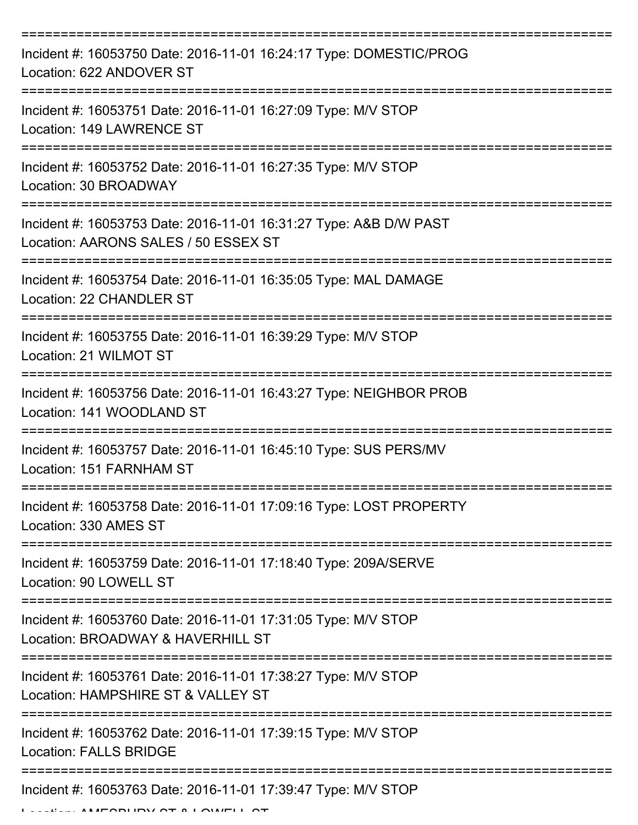| Incident #: 16053750 Date: 2016-11-01 16:24:17 Type: DOMESTIC/PROG<br>Location: 622 ANDOVER ST            |
|-----------------------------------------------------------------------------------------------------------|
| Incident #: 16053751 Date: 2016-11-01 16:27:09 Type: M/V STOP<br>Location: 149 LAWRENCE ST                |
| Incident #: 16053752 Date: 2016-11-01 16:27:35 Type: M/V STOP<br>Location: 30 BROADWAY                    |
| Incident #: 16053753 Date: 2016-11-01 16:31:27 Type: A&B D/W PAST<br>Location: AARONS SALES / 50 ESSEX ST |
| Incident #: 16053754 Date: 2016-11-01 16:35:05 Type: MAL DAMAGE<br>Location: 22 CHANDLER ST<br>========== |
| Incident #: 16053755 Date: 2016-11-01 16:39:29 Type: M/V STOP<br>Location: 21 WILMOT ST                   |
| Incident #: 16053756 Date: 2016-11-01 16:43:27 Type: NEIGHBOR PROB<br>Location: 141 WOODLAND ST           |
| Incident #: 16053757 Date: 2016-11-01 16:45:10 Type: SUS PERS/MV<br>Location: 151 FARNHAM ST              |
| Incident #: 16053758 Date: 2016-11-01 17:09:16 Type: LOST PROPERTY<br>Location: 330 AMES ST               |
| Incident #: 16053759 Date: 2016-11-01 17:18:40 Type: 209A/SERVE<br>Location: 90 LOWELL ST                 |
| Incident #: 16053760 Date: 2016-11-01 17:31:05 Type: M/V STOP<br>Location: BROADWAY & HAVERHILL ST        |
| Incident #: 16053761 Date: 2016-11-01 17:38:27 Type: M/V STOP<br>Location: HAMPSHIRE ST & VALLEY ST       |
| Incident #: 16053762 Date: 2016-11-01 17:39:15 Type: M/V STOP<br><b>Location: FALLS BRIDGE</b>            |
| Incident #: 16053763 Date: 2016-11-01 17:39:47 Type: M/V STOP                                             |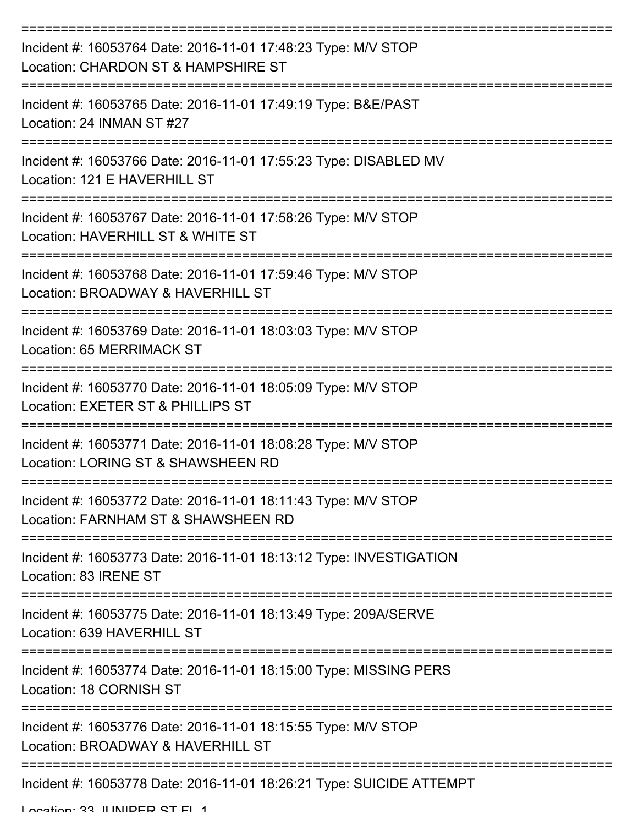| Incident #: 16053764 Date: 2016-11-01 17:48:23 Type: M/V STOP<br>Location: CHARDON ST & HAMPSHIRE ST |
|------------------------------------------------------------------------------------------------------|
| Incident #: 16053765 Date: 2016-11-01 17:49:19 Type: B&E/PAST<br>Location: 24 INMAN ST #27           |
| Incident #: 16053766 Date: 2016-11-01 17:55:23 Type: DISABLED MV<br>Location: 121 E HAVERHILL ST     |
| Incident #: 16053767 Date: 2016-11-01 17:58:26 Type: M/V STOP<br>Location: HAVERHILL ST & WHITE ST   |
| Incident #: 16053768 Date: 2016-11-01 17:59:46 Type: M/V STOP<br>Location: BROADWAY & HAVERHILL ST   |
| Incident #: 16053769 Date: 2016-11-01 18:03:03 Type: M/V STOP<br>Location: 65 MERRIMACK ST           |
| Incident #: 16053770 Date: 2016-11-01 18:05:09 Type: M/V STOP<br>Location: EXETER ST & PHILLIPS ST   |
| Incident #: 16053771 Date: 2016-11-01 18:08:28 Type: M/V STOP<br>Location: LORING ST & SHAWSHEEN RD  |
| Incident #: 16053772 Date: 2016-11-01 18:11:43 Type: M/V STOP<br>Location: FARNHAM ST & SHAWSHEEN RD |
| Incident #: 16053773 Date: 2016-11-01 18:13:12 Type: INVESTIGATION<br>Location: 83 IRENE ST          |
| Incident #: 16053775 Date: 2016-11-01 18:13:49 Type: 209A/SERVE<br>Location: 639 HAVERHILL ST        |
| Incident #: 16053774 Date: 2016-11-01 18:15:00 Type: MISSING PERS<br>Location: 18 CORNISH ST         |
| Incident #: 16053776 Date: 2016-11-01 18:15:55 Type: M/V STOP<br>Location: BROADWAY & HAVERHILL ST   |
| Incident #: 16053778 Date: 2016-11-01 18:26:21 Type: SUICIDE ATTEMPT                                 |

Location: 33 ILINIDED ST FL 1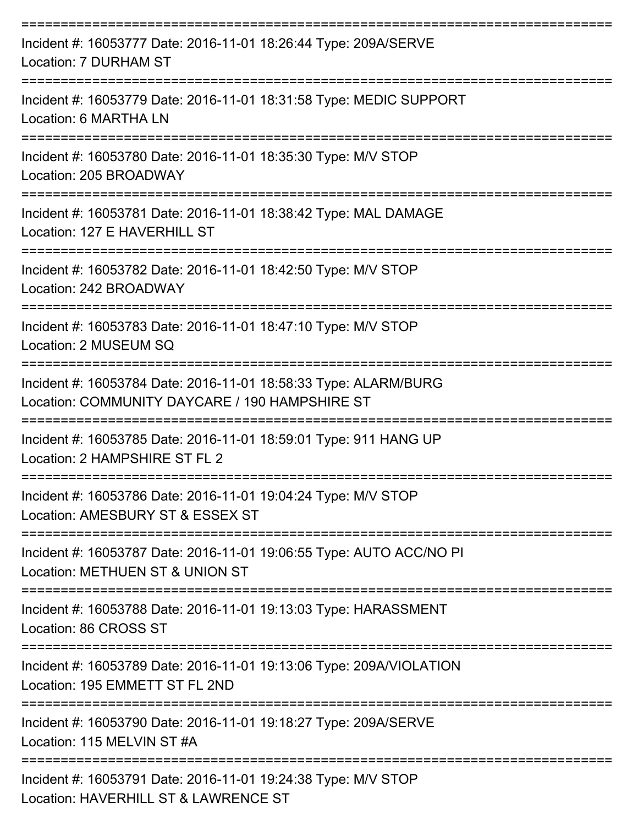| Incident #: 16053777 Date: 2016-11-01 18:26:44 Type: 209A/SERVE<br>Location: 7 DURHAM ST                          |
|-------------------------------------------------------------------------------------------------------------------|
| Incident #: 16053779 Date: 2016-11-01 18:31:58 Type: MEDIC SUPPORT<br>Location: 6 MARTHA LN                       |
| Incident #: 16053780 Date: 2016-11-01 18:35:30 Type: M/V STOP<br>Location: 205 BROADWAY                           |
| Incident #: 16053781 Date: 2016-11-01 18:38:42 Type: MAL DAMAGE<br>Location: 127 E HAVERHILL ST                   |
| Incident #: 16053782 Date: 2016-11-01 18:42:50 Type: M/V STOP<br>Location: 242 BROADWAY                           |
| Incident #: 16053783 Date: 2016-11-01 18:47:10 Type: M/V STOP<br>Location: 2 MUSEUM SQ                            |
| Incident #: 16053784 Date: 2016-11-01 18:58:33 Type: ALARM/BURG<br>Location: COMMUNITY DAYCARE / 190 HAMPSHIRE ST |
| Incident #: 16053785 Date: 2016-11-01 18:59:01 Type: 911 HANG UP<br>Location: 2 HAMPSHIRE ST FL 2                 |
| Incident #: 16053786 Date: 2016-11-01 19:04:24 Type: M/V STOP<br>Location: AMESBURY ST & ESSEX ST                 |
| Incident #: 16053787 Date: 2016-11-01 19:06:55 Type: AUTO ACC/NO PI<br>Location: METHUEN ST & UNION ST            |
| Incident #: 16053788 Date: 2016-11-01 19:13:03 Type: HARASSMENT<br>Location: 86 CROSS ST                          |
| Incident #: 16053789 Date: 2016-11-01 19:13:06 Type: 209A/VIOLATION<br>Location: 195 EMMETT ST FL 2ND             |
| Incident #: 16053790 Date: 2016-11-01 19:18:27 Type: 209A/SERVE<br>Location: 115 MELVIN ST #A                     |
| Incident #: 16053791 Date: 2016-11-01 19:24:38 Type: M/V STOP<br>Location: HAVERHILL ST & LAWRENCE ST             |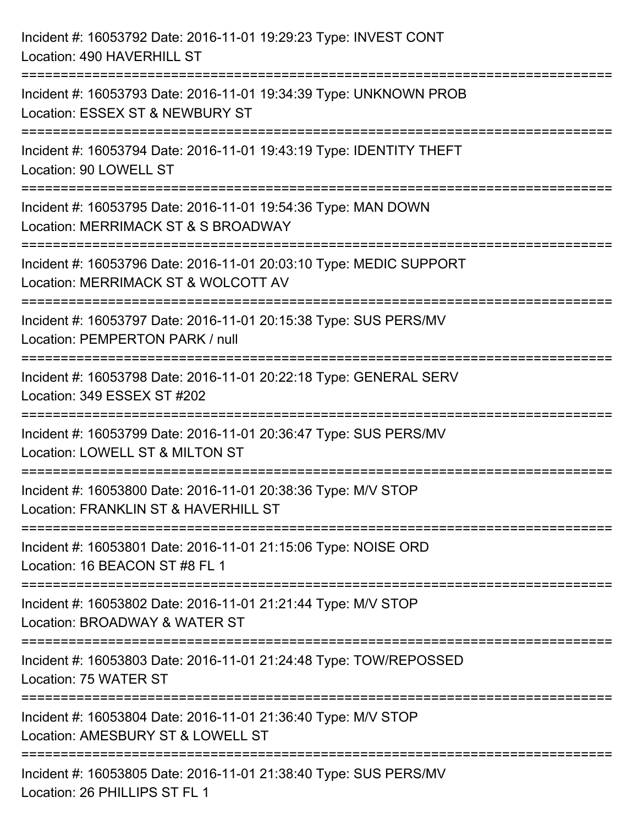| Incident #: 16053792 Date: 2016-11-01 19:29:23 Type: INVEST CONT<br>Location: 490 HAVERHILL ST                                       |
|--------------------------------------------------------------------------------------------------------------------------------------|
| Incident #: 16053793 Date: 2016-11-01 19:34:39 Type: UNKNOWN PROB<br>Location: ESSEX ST & NEWBURY ST                                 |
| Incident #: 16053794 Date: 2016-11-01 19:43:19 Type: IDENTITY THEFT<br>Location: 90 LOWELL ST<br>-------------------------------     |
| Incident #: 16053795 Date: 2016-11-01 19:54:36 Type: MAN DOWN<br>Location: MERRIMACK ST & S BROADWAY                                 |
| Incident #: 16053796 Date: 2016-11-01 20:03:10 Type: MEDIC SUPPORT<br>Location: MERRIMACK ST & WOLCOTT AV                            |
| Incident #: 16053797 Date: 2016-11-01 20:15:38 Type: SUS PERS/MV<br>Location: PEMPERTON PARK / null<br>:=======================      |
| Incident #: 16053798 Date: 2016-11-01 20:22:18 Type: GENERAL SERV<br>Location: 349 ESSEX ST #202<br>-------------------------------- |
| Incident #: 16053799 Date: 2016-11-01 20:36:47 Type: SUS PERS/MV<br>Location: LOWELL ST & MILTON ST                                  |
| Incident #: 16053800 Date: 2016-11-01 20:38:36 Type: M/V STOP<br>Location: FRANKLIN ST & HAVERHILL ST                                |
| Incident #: 16053801 Date: 2016-11-01 21:15:06 Type: NOISE ORD<br>Location: 16 BEACON ST #8 FL 1                                     |
| Incident #: 16053802 Date: 2016-11-01 21:21:44 Type: M/V STOP<br>Location: BROADWAY & WATER ST                                       |
| Incident #: 16053803 Date: 2016-11-01 21:24:48 Type: TOW/REPOSSED<br>Location: 75 WATER ST                                           |
| Incident #: 16053804 Date: 2016-11-01 21:36:40 Type: M/V STOP<br>Location: AMESBURY ST & LOWELL ST                                   |
| Incident #: 16053805 Date: 2016-11-01 21:38:40 Type: SUS PERS/MV<br>Location: 26 PHILLIPS ST FL 1                                    |